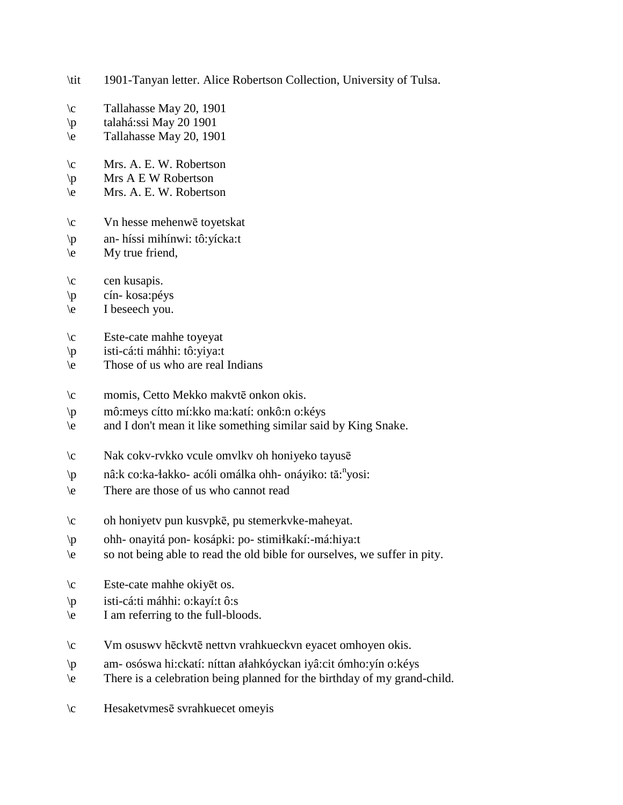- \tit 1901-Tanyan letter. Alice Robertson Collection, University of Tulsa.
- \c Tallahasse May 20, 1901
- \p talahá:ssi May 20 1901
- \e Tallahasse May 20, 1901
- \c Mrs. A. E. W. Robertson
- $\pmb{\varphi}$  Mrs A E W Robertson
- \e Mrs. A. E. W. Robertson
- \c Vn hesse mehenwē toyetskat
- \p an- híssi mihínwi: tô:yícka:t
- \e My true friend,
- $\c$  cen kusapis.
- \p cín- kosa:péys
- \e I beseech you.
- \c Este-cate mahhe toyeyat
- \p isti-cá:ti máhhi: tô:yiya:t
- $\leq$  Those of us who are real Indians
- \c momis, Cetto Mekko makvtē onkon okis.
- \p mô:meys cítto mí:kko ma:katí: onkô:n o:kéys
- \e and I don't mean it like something similar said by King Snake.
- \c Nak cokv-rvkko vcule omvlkv oh honiyeko tayusē
- \p nâ:k co:ka-łakko- acóli omálka ohh- onáyiko: tă:<sup>n</sup>yosi:
- \e There are those of us who cannot read
- \c oh honiyetv pun kusvpkē, pu stemerkvke-maheyat.
- \p ohh- onayitá pon- kosápki: po- stimi!kakí:-má:hiya:t
- \e so not being able to read the old bible for ourselves, we suffer in pity.
- \c Este-cate mahhe okiyēt os.
- \p isti-cá:ti máhhi: o:kayí:t ô:s
- \e I am referring to the full-bloods.
- \c Vm osuswv hēckvtē nettvn vrahkueckvn eyacet omhoyen okis.
- \p am- osóswa hi:ckatí: níttan a!ahkóyckan iyâ:cit ómho:yín o:kéys
- \e There is a celebration being planned for the birthday of my grand-child.
- \c Hesaketvmesē svrahkuecet omeyis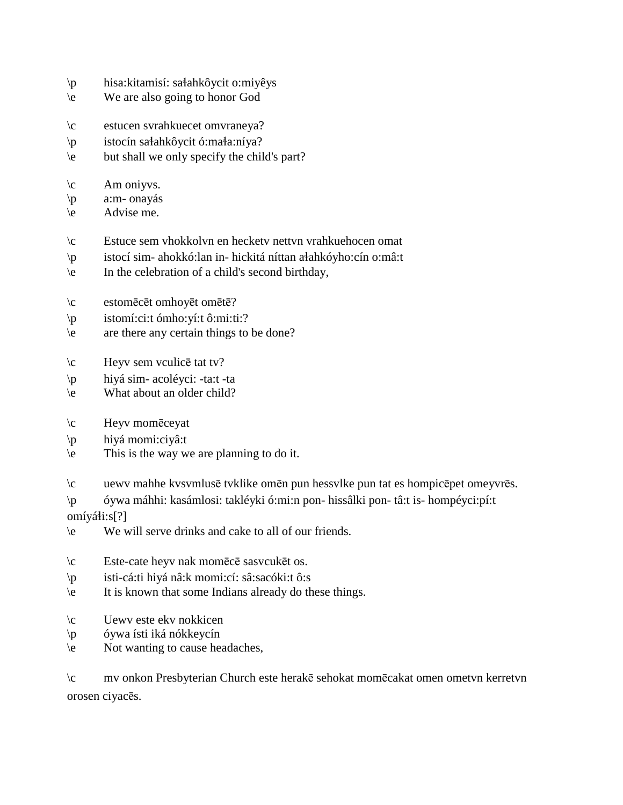- \p hisa:kitamisí: sa!ahkôycit o:miyêys
- \e We are also going to honor God
- \c estucen svrahkuecet omvraneya?
- $\pi$  istocín sałahkôycit ó:mała:níya?
- \e but shall we only specify the child's part?
- $\operatorname{km}$  oniyvs.
- \p a:m- onayás
- \e Advise me.
- \c Estuce sem vhokkolvn en hecketv nettvn vrahkuehocen omat
- \p istocí sim- ahokkó:lan in- hickitá níttan a!ahkóyho:cín o:mâ:t
- \e In the celebration of a child's second birthday,
- \c estomēcēt omhoyēt omētē?
- \p istomí:ci:t ómho:yí:t ô:mi:ti:?
- \e are there any certain things to be done?
- \c Heyv sem vculicē tat tv?
- \p hiyá sim- acoléyci: -ta:t -ta
- \e What about an older child?
- \c Heyv momēceyat
- \p hiyá momi:ciyâ:t
- \e This is the way we are planning to do it.
- \c uewv mahhe kvsvmlusē tvklike omēn pun hessvlke pun tat es hompicēpet omeyvrēs.
- \p óywa máhhi: kasámlosi: takléyki ó:mi:n pon- hissâlki pon- tâ:t is- hompéyci:pí:t omíyáłi:s[?]
- \e We will serve drinks and cake to all of our friends.
- \c Este-cate heyv nak momēcē sasvcukēt os.
- \p isti-cá:ti hiyá nâ:k momi:cí: sâ:sacóki:t ô:s
- \e It is known that some Indians already do these things.
- \c Uewv este ekv nokkicen
- \p óywa ísti iká nókkeycín
- \e Not wanting to cause headaches,

| $\setminus c$ | my onkon Presbyterian Church este herake sehokat mometakat omen ometyn kerretyn |  |  |  |
|---------------|---------------------------------------------------------------------------------|--|--|--|
|               | orosen ciyaces.                                                                 |  |  |  |